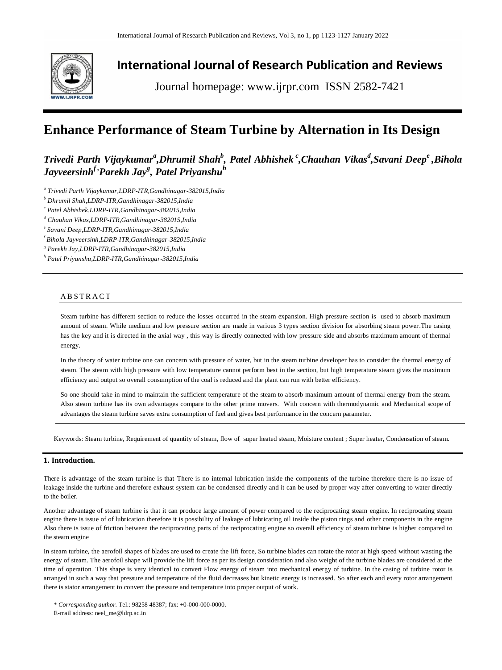

# **International Journal of Research Publication and Reviews**

Journal homepage: www.ijrpr.com ISSN 2582-7421

# **Enhance Performance of Steam Turbine by Alternation in Its Design**

# $T$ rivedi Parth Vijaykumar<sup>a</sup>,Dhrumil Shah<sup>b</sup>, Patel Abhishek <sup>c</sup>,Chauhan Vikas<sup>d</sup>,Savani Deep<sup>e</sup> ,Bihola *Jayveersinhf ,Parekh Jay<sup>g</sup> , Patel Priyanshu<sup>h</sup>*

*a Trivedi Parth Vijaykumar,LDRP-ITR,Gandhinagar-382015,India*

*<sup>b</sup> Dhrumil Shah,LDRP-ITR,Gandhinagar-382015,India*

*<sup>c</sup> Patel Abhishek,LDRP-ITR,Gandhinagar-382015,India*

*<sup>d</sup> Chauhan Vikas,LDRP-ITR,Gandhinagar-382015,India*

*e Savani Deep,LDRP-ITR,Gandhinagar-382015,India*

*<sup>f</sup> Bihola Jayveersinh,LDRP-ITR,Gandhinagar-382015,India*

*<sup>g</sup> Parekh Jay,LDRP-ITR,Gandhinagar-382015,India*

*<sup>h</sup> Patel Priyanshu,LDRP-ITR,Gandhinagar-382015,India*

# **ABSTRACT**

Steam turbine has different section to reduce the losses occurred in the steam expansion. High pressure section is used to absorb maximum amount of steam. While medium and low pressure section are made in various 3 types section division for absorbing steam power.The casing has the key and it is directed in the axial way , this way is directly connected with low pressure side and absorbs maximum amount of thermal energy.

In the theory of water turbine one can concern with pressure of water, but in the steam turbine developer has to consider the thermal energy of steam. The steam with high pressure with low temperature cannot perform best in the section, but high temperature steam gives the maximum efficiency and output so overall consumption of the coal is reduced and the plant can run with better efficiency.

So one should take in mind to maintain the sufficient temperature of the steam to absorb maximum amount of thermal energy from the steam. Also steam turbine has its own advantages compare to the other prime movers. With concern with thermodynamic and Mechanical scope of advantages the steam turbine saves extra consumption of fuel and gives best performance in the concern parameter.

Keywords: Steam turbine, Requirement of quantity of steam, flow of super heated steam, Moisture content ; Super heater, Condensation of steam.

## **1. Introduction.**

There is advantage of the steam turbine is that There is no internal lubrication inside the components of the turbine therefore there is no issue of leakage inside the turbine and therefore exhaust system can be condensed directly and it can be used by proper way after converting to water directly to the boiler.

Another advantage of steam turbine is that it can produce large amount of power compared to the reciprocating steam engine. In reciprocating steam engine there is issue of of lubrication therefore it is possibility of leakage of lubricating oil inside the piston rings and other components in the engine Also there is issue of friction between the reciprocating parts of the reciprocating engine so overall efficiency of steam turbine is higher compared to the steam engine

In steam turbine, the aerofoil shapes of blades are used to create the lift force, So turbine blades can rotate the rotor at high speed without wasting the energy of steam. The aerofoil shape will provide the lift force as per its design consideration and also weight of the turbine blades are considered at the time of operation. This shape is very identical to convert Flow energy of steam into mechanical energy of turbine. In the casing of turbine rotor is arranged in such a way that pressure and temperature of the fluid decreases but kinetic energy is increased. So after each and every rotor arrangement there is stator arrangement to convert the pressure and temperature into proper output of work.

\* *Corresponding author.* Tel.: 98258 48387; fax: +0-000-000-0000. E-mail address: neel\_me@ldrp.ac.in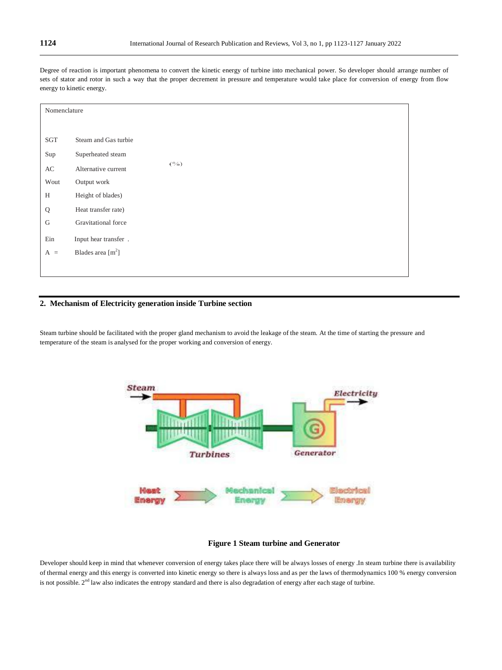Degree of reaction is important phenomena to convert the kinetic energy of turbine into mechanical power. So developer should arrange number of sets of stator and rotor in such a way that the proper decrement in pressure and temperature would take place for conversion of energy from flow energy to kinetic energy.

| Nomenclature |                      |        |
|--------------|----------------------|--------|
|              |                      |        |
| SGT          | Steam and Gas turbie |        |
| Sup          | Superheated steam    |        |
| AC           | Alternative current  | $($ %) |
| Wout         | Output work          |        |
| H            | Height of blades)    |        |
| Q            | Heat transfer rate)  |        |
| $\mathsf G$  | Gravitational force  |        |
| Ein          | Input hear transfer. |        |
| $A =$        | Blades area $[m^2]$  |        |
|              |                      |        |

# **2. Mechanism of Electricity generation inside Turbine section**

Steam turbine should be facilitated with the proper gland mechanism to avoid the leakage of the steam. At the time of starting the pressure and temperature of the steam is analysed for the proper working and conversion of energy.



### **Figure 1 Steam turbine and Generator**

Developer should keep in mind that whenever conversion of energy takes place there will be always losses of energy .In steam turbine there is availability of thermal energy and this energy is converted into kinetic energy so there is always loss and as per the laws of thermodynamics 100 % energy conversion is not possible.  $2<sup>nd</sup>$  law also indicates the entropy standard and there is also degradation of energy after each stage of turbine.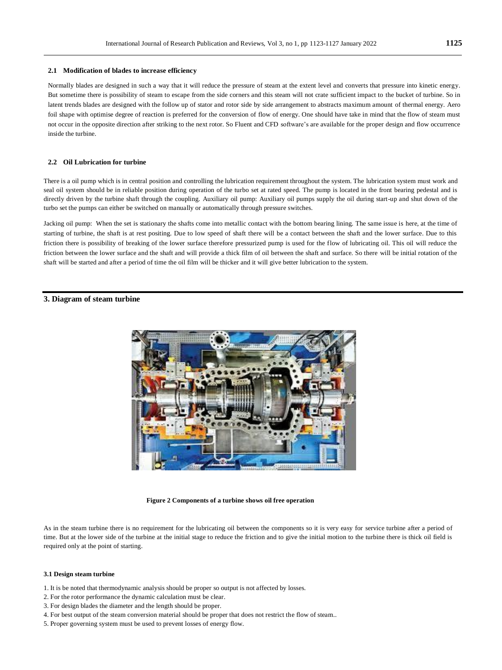#### **2.1 Modification of blades to increase efficiency**

Normally blades are designed in such a way that it will reduce the pressure of steam at the extent level and converts that pressure into kinetic energy. But sometime there is possibility of steam to escape from the side corners and this steam will not crate sufficient impact to the bucket of turbine. So in latent trends blades are designed with the follow up of stator and rotor side by side arrangement to abstracts maximum amount of thermal energy. Aero foil shape with optimise degree of reaction is preferred for the conversion of flow of energy. One should have take in mind that the flow of steam must not occur in the opposite direction after striking to the next rotor. So Fluent and CFD software's are available for the proper design and flow occurrence inside the turbine.

#### **2.2 Oil Lubrication for turbine**

There is a oil pump which is in central position and controlling the lubrication requirement throughout the system. The lubrication system must work and seal oil system should be in reliable position during operation of the turbo set at rated speed. The pump is located in the front bearing pedestal and is directly driven by the turbine shaft through the coupling. Auxiliary oil pump: Auxiliary oil pumps supply the oil during start-up and shut down of the turbo set the pumps can either be switched on manually or automatically through pressure switches.

Jacking oil pump: When the set is stationary the shafts come into metallic contact with the bottom bearing lining. The same issue is here, at the time of starting of turbine, the shaft is at rest positing. Due to low speed of shaft there will be a contact between the shaft and the lower surface. Due to this friction there is possibility of breaking of the lower surface therefore pressurized pump is used for the flow of lubricating oil. This oil will reduce the friction between the lower surface and the shaft and will provide a thick film of oil between the shaft and surface. So there will be initial rotation of the shaft will be started and after a period of time the oil film will be thicker and it will give better lubrication to the system.

### **3. Diagram of steam turbine**



**Figure 2 Components of a turbine shows oil free operation**

As in the steam turbine there is no requirement for the lubricating oil between the components so it is very easy for service turbine after a period of time. But at the lower side of the turbine at the initial stage to reduce the friction and to give the initial motion to the turbine there is thick oil field is required only at the point of starting.

#### **3.1 Design steam turbine**

- 1. It is be noted that thermodynamic analysis should be proper so output is not affected by losses.
- 2. For the rotor performance the dynamic calculation must be clear.
- 3. For design blades the diameter and the length should be proper.
- 4. For best output of the steam conversion material should be proper that does not restrict the flow of steam..
- 5. Proper governing system must be used to prevent losses of energy flow.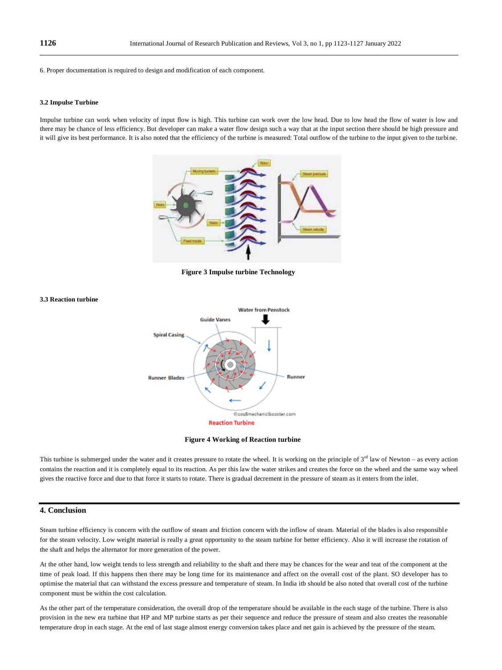6. Proper documentation is required to design and modification of each component.

#### **3.2 Impulse Turbine**

Impulse turbine can work when velocity of input flow is high. This turbine can work over the low head. Due to low head the flow of water is low and there may be chance of less efficiency. But developer can make a water flow design such a way that at the input section there should be high pressure and it will give its best performance. It is also noted that the efficiency of the turbine is measured: Total outflow of the turbine to the input given to the turbine.



 **Figure 3 Impulse turbine Technology**





This turbine is submerged under the water and it creates pressure to rotate the wheel. It is working on the principle of  $3<sup>rd</sup>$  law of Newton – as every action contains the reaction and it is completely equal to its reaction. As per this law the water strikes and creates the force on the wheel and the same way wheel gives the reactive force and due to that force it starts to rotate. There is gradual decrement in the pressure of steam as it enters from the inlet.

#### **4. Conclusion**

Steam turbine efficiency is concern with the outflow of steam and friction concern with the inflow of steam. Material of the blades is also responsibl e for the steam velocity. Low weight material is really a great opportunity to the steam turbine for better efficiency. Also it will increase the rotation of the shaft and helps the alternator for more generation of the power.

At the other hand, low weight tends to less strength and reliability to the shaft and there may be chances for the wear and teat of the component at the time of peak load. If this happens then there may be long time for its maintenance and affect on the overall cost of the plant. SO developer has to optimise the material that can withstand the excess pressure and temperature of steam. In India itb should be also noted that overall cost of the turbine component must be within the cost calculation.

As the other part of the temperature consideration, the overall drop of the temperature should be available in the each stage of the turbine. There is also provision in the new era turbine that HP and MP turbine starts as per their sequence and reduce the pressure of steam and also creates the reasonable temperature drop in each stage. At the end of last stage almost energy conversion takes place and net gain is achieved by the pressure of the steam.

**3.3 Reaction turbine**